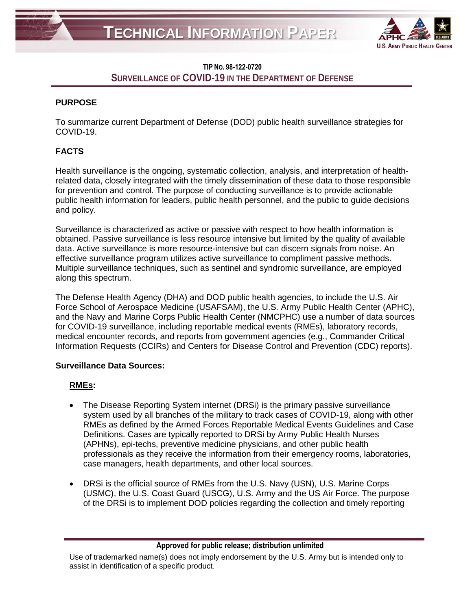

# **TIP NO. 98-122-0720 SURVEILLANCE OF COVID-19 IN THE DEPARTMENT OF DEFENSE**

## **PURPOSE**

To summarize current Department of Defense (DOD) public health surveillance strategies for COVID-19.

# **FACTS**

Health surveillance is the ongoing, systematic collection, analysis, and interpretation of healthrelated data, closely integrated with the timely dissemination of these data to those responsible for prevention and control. The purpose of conducting surveillance is to provide actionable public health information for leaders, public health personnel, and the public to guide decisions and policy.

Surveillance is characterized as active or passive with respect to how health information is obtained. Passive surveillance is less resource intensive but limited by the quality of available data. Active surveillance is more resource-intensive but can discern signals from noise. An effective surveillance program utilizes active surveillance to compliment passive methods. Multiple surveillance techniques, such as sentinel and syndromic surveillance, are employed along this spectrum.

The Defense Health Agency (DHA) and DOD public health agencies, to include the U.S. Air Force School of Aerospace Medicine (USAFSAM), the U.S. Army Public Health Center (APHC), and the Navy and Marine Corps Public Health Center (NMCPHC) use a number of data sources for COVID-19 surveillance, including reportable medical events (RMEs), laboratory records, medical encounter records, and reports from government agencies (e.g., Commander Critical Information Requests (CCIRs) and Centers for Disease Control and Prevention (CDC) reports).

## **Surveillance Data Sources:**

## **RMEs:**

- The Disease Reporting System internet (DRSi) is the primary passive surveillance system used by all branches of the military to track cases of COVID-19, along with other RMEs as defined by the Armed Forces Reportable Medical Events Guidelines and Case Definitions. Cases are typically reported to DRSi by Army Public Health Nurses (APHNs), epi-techs, preventive medicine physicians, and other public health professionals as they receive the information from their emergency rooms, laboratories, case managers, health departments, and other local sources.
- DRSi is the official source of RMEs from the U.S. Navy (USN), U.S. Marine Corps (USMC), the U.S. Coast Guard (USCG), U.S. Army and the US Air Force. The purpose of the DRSi is to implement DOD policies regarding the collection and timely reporting

**Approved for public release; distribution unlimited**

Use of trademarked name(s) does not imply endorsement by the U.S. Army but is intended only to assist in identification of a specific product.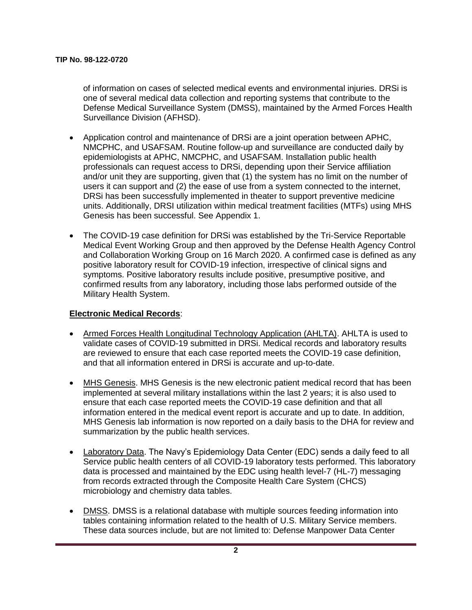of information on cases of selected medical events and environmental injuries. DRSi is one of several medical data collection and reporting systems that contribute to the Defense Medical Surveillance System (DMSS), maintained by the Armed Forces Health Surveillance Division (AFHSD).

- Application control and maintenance of DRSi are a joint operation between APHC, NMCPHC, and USAFSAM. Routine follow-up and surveillance are conducted daily by epidemiologists at APHC, NMCPHC, and USAFSAM. Installation public health professionals can request access to DRSi, depending upon their Service affiliation and/or unit they are supporting, given that (1) the system has no limit on the number of users it can support and (2) the ease of use from a system connected to the internet, DRSi has been successfully implemented in theater to support preventive medicine units. Additionally, DRSI utilization within medical treatment facilities (MTFs) using MHS Genesis has been successful. See Appendix 1.
- The COVID-19 case definition for DRSi was established by the Tri-Service Reportable Medical Event Working Group and then approved by the Defense Health Agency Control and Collaboration Working Group on 16 March 2020. A confirmed case is defined as any positive laboratory result for COVID-19 infection, irrespective of clinical signs and symptoms. Positive laboratory results include positive, presumptive positive, and confirmed results from any laboratory, including those labs performed outside of the Military Health System.

#### **Electronic Medical Records**:

- Armed Forces Health Longitudinal Technology Application (AHLTA). AHLTA is used to validate cases of COVID-19 submitted in DRSi. Medical records and laboratory results are reviewed to ensure that each case reported meets the COVID-19 case definition, and that all information entered in DRSi is accurate and up-to-date.
- MHS Genesis. MHS Genesis is the new electronic patient medical record that has been implemented at several military installations within the last 2 years; it is also used to ensure that each case reported meets the COVID-19 case definition and that all information entered in the medical event report is accurate and up to date. In addition, MHS Genesis lab information is now reported on a daily basis to the DHA for review and summarization by the public health services.
- Laboratory Data. The Navy's Epidemiology Data Center (EDC) sends a daily feed to all Service public health centers of all COVID-19 laboratory tests performed. This laboratory data is processed and maintained by the EDC using health level-7 (HL-7) messaging from records extracted through the Composite Health Care System (CHCS) microbiology and chemistry data tables.
- DMSS. DMSS is a relational database with multiple sources feeding information into tables containing information related to the health of U.S. Military Service members. These data sources include, but are not limited to: Defense Manpower Data Center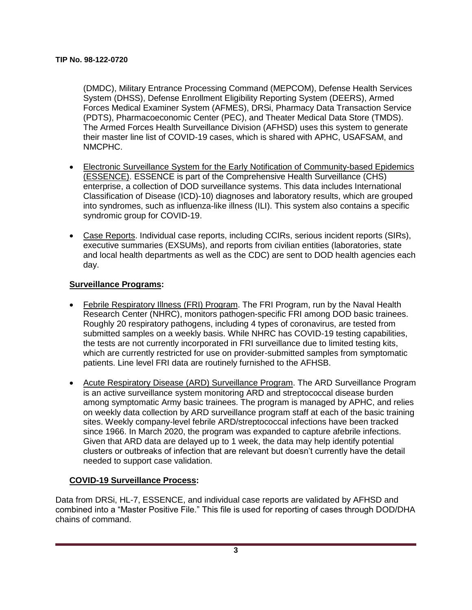(DMDC), Military Entrance Processing Command (MEPCOM), Defense Health Services System (DHSS), Defense Enrollment Eligibility Reporting System (DEERS), Armed Forces Medical Examiner System (AFMES), DRSi, Pharmacy Data Transaction Service (PDTS), Pharmacoeconomic Center (PEC), and Theater Medical Data Store (TMDS). The Armed Forces Health Surveillance Division (AFHSD) uses this system to generate their master line list of COVID-19 cases, which is shared with APHC, USAFSAM, and NMCPHC.

- Electronic Surveillance System for the Early Notification of Community-based Epidemics (ESSENCE). ESSENCE is part of the Comprehensive Health Surveillance (CHS) enterprise, a collection of DOD surveillance systems. This data includes International Classification of Disease (ICD)-10) diagnoses and laboratory results, which are grouped into syndromes, such as influenza-like illness (ILI). This system also contains a specific syndromic group for COVID-19.
- Case Reports. Individual case reports, including CCIRs, serious incident reports (SIRs), executive summaries (EXSUMs), and reports from civilian entities (laboratories, state and local health departments as well as the CDC) are sent to DOD health agencies each day.

### **Surveillance Programs:**

- Febrile Respiratory Illness (FRI) Program. The FRI Program, run by the Naval Health Research Center (NHRC), monitors pathogen-specific FRI among DOD basic trainees. Roughly 20 respiratory pathogens, including 4 types of coronavirus, are tested from submitted samples on a weekly basis. While NHRC has COVID-19 testing capabilities, the tests are not currently incorporated in FRI surveillance due to limited testing kits, which are currently restricted for use on provider-submitted samples from symptomatic patients. Line level FRI data are routinely furnished to the AFHSB.
- Acute Respiratory Disease (ARD) Surveillance Program. The ARD Surveillance Program is an active surveillance system monitoring ARD and streptococcal disease burden among symptomatic Army basic trainees. The program is managed by APHC, and relies on weekly data collection by ARD surveillance program staff at each of the basic training sites. Weekly company-level febrile ARD/streptococcal infections have been tracked since 1966. In March 2020, the program was expanded to capture afebrile infections. Given that ARD data are delayed up to 1 week, the data may help identify potential clusters or outbreaks of infection that are relevant but doesn't currently have the detail needed to support case validation.

## **COVID-19 Surveillance Process:**

Data from DRSi, HL-7, ESSENCE, and individual case reports are validated by AFHSD and combined into a "Master Positive File." This file is used for reporting of cases through DOD/DHA chains of command.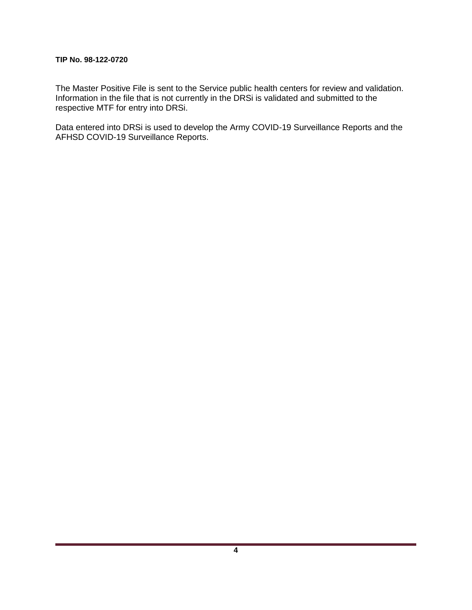#### **TIP No. 98-122-0720**

The Master Positive File is sent to the Service public health centers for review and validation. Information in the file that is not currently in the DRSi is validated and submitted to the respective MTF for entry into DRSi.

Data entered into DRSi is used to develop the Army COVID-19 Surveillance Reports and the AFHSD COVID-19 Surveillance Reports.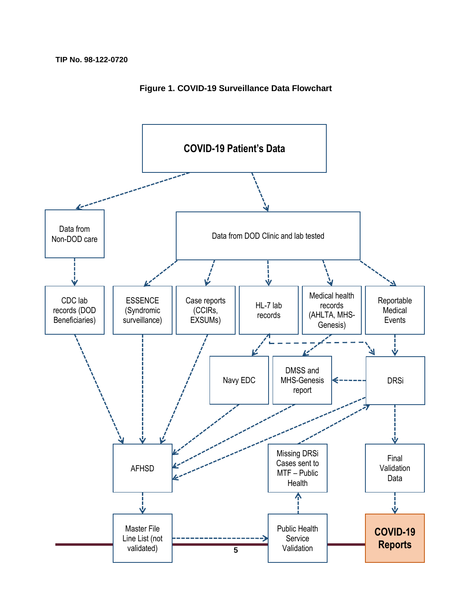

**Figure 1. COVID-19 Surveillance Data Flowchart**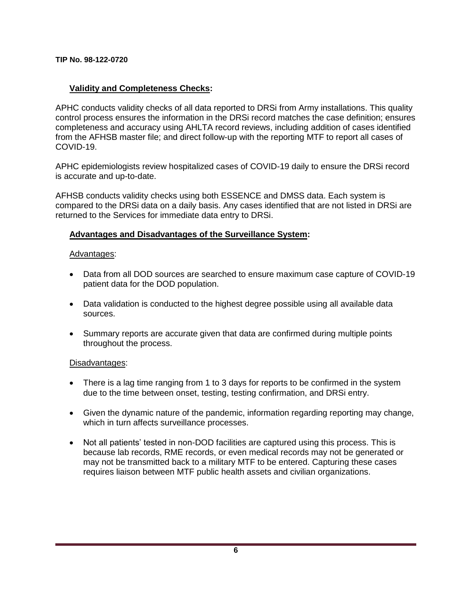**TIP No. 98-122-0720**

### **Validity and Completeness Checks:**

APHC conducts validity checks of all data reported to DRSi from Army installations. This quality control process ensures the information in the DRSi record matches the case definition; ensures completeness and accuracy using AHLTA record reviews, including addition of cases identified from the AFHSB master file; and direct follow-up with the reporting MTF to report all cases of COVID-19.

APHC epidemiologists review hospitalized cases of COVID-19 daily to ensure the DRSi record is accurate and up-to-date.

AFHSB conducts validity checks using both ESSENCE and DMSS data. Each system is compared to the DRSi data on a daily basis. Any cases identified that are not listed in DRSi are returned to the Services for immediate data entry to DRSi.

#### **Advantages and Disadvantages of the Surveillance System:**

#### Advantages:

- Data from all DOD sources are searched to ensure maximum case capture of COVID-19 patient data for the DOD population.
- Data validation is conducted to the highest degree possible using all available data sources.
- Summary reports are accurate given that data are confirmed during multiple points throughout the process.

#### Disadvantages:

- There is a lag time ranging from 1 to 3 days for reports to be confirmed in the system due to the time between onset, testing, testing confirmation, and DRSi entry.
- Given the dynamic nature of the pandemic, information regarding reporting may change, which in turn affects surveillance processes.
- Not all patients' tested in non-DOD facilities are captured using this process. This is because lab records, RME records, or even medical records may not be generated or may not be transmitted back to a military MTF to be entered. Capturing these cases requires liaison between MTF public health assets and civilian organizations.